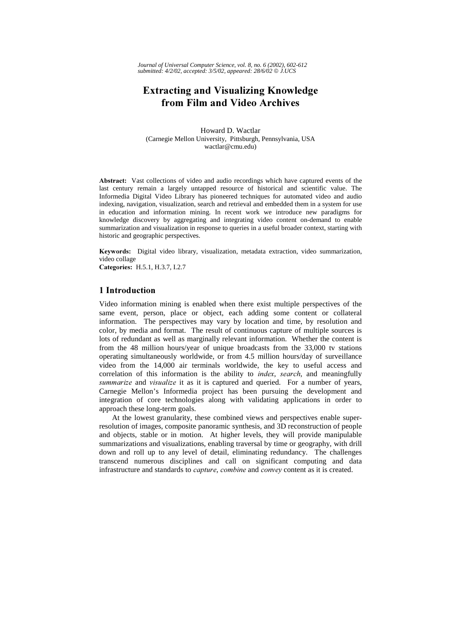*Journal of Universal Computer Science, vol. 8, no. 6 (2002), 602-612 submitted: 4/2/02, accepted: 3/5/02, appeared: 28/6/02 J.UCS*

# **Extracting and Visualizing Knowledge** from Film and Video Archives

Howard D. Wactlar (Carnegie Mellon University, Pittsburgh, Pennsylvania, USA wactlar@cmu.edu)

Abstract: Vast collections of video and audio recordings which have captured events of the last century remain a largely untapped resource of historical and scientific value. The Informedia Digital Video Library has pioneered techniques for automated video and audio indexing, navigation, visualization, search and retrieval and embedded them in a system for use in education and information mining. In recent work we introduce new paradigms for knowledge discovery by aggregating and integrating video content on-demand to enable summarization and visualization in response to queries in a useful broader context, starting with historic and geographic perspectives.

Keywords: Digital video library, visualization, metadata extraction, video summarization, video collage

Categories: H.5.1, H.3.7, I.2.7

# 1 Introduction

Video information mining is enabled when there exist multiple perspectives of the same event, person, place or object, each adding some content or collateral information. The perspectives may vary by location and time, by resolution and color, by media and format. The result of continuous capture of multiple sources is lots of redundant as well as marginally relevant information. Whether the content is from the 48 million hours/year of unique broadcasts from the 33,000 tv stations operating simultaneously worldwide, or from 4.5 million hours/day of surveillance video from the 14,000 air terminals worldwide, the key to useful access and correlation of this information is the ability to *index*, search, and meaningfully summarize and visualize it as it is captured and queried. For a number of years, Carnegie Mellon's Informedia project has been pursuing the development and integration of core technologies along with validating applications in order to approach these long-term goals.

At the lowest granularity, these combined views and perspectives enable superresolution of images, composite panoramic synthesis, and 3D reconstruction of people and objects, stable or in motion. At higher levels, they will provide manipulable summarizations and visualizations, enabling traversal by time or geography, with drill down and roll up to any level of detail, eliminating redundancy. The challenges transcend numerous disciplines and call on significant computing and data infrastructure and standards to *capture*, *combine* and *convey* content as it is created.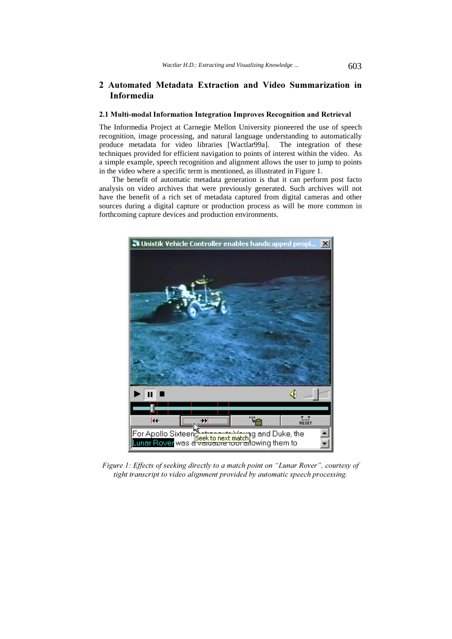# 2 Automated Metadata Extraction and Video Summarization in Informedia

#### 2.1 Multi-modal Information Integration Improves Recognition and Retrieval

The Informedia Project at Carnegie Mellon University pioneered the use of speech recognition, image processing, and natural language understanding to automatically produce metadata for video libraries [Wactlar99a]. The integration of these techniques provided for efficient navigation to points of interest within the video. As a simple example, speech recognition and alignment allows the user to jump to points in the video where a specific term is mentioned, as illustrated in Figure 1.

The benefit of automatic metadata generation is that it can perform post facto analysis on video archives that were previously generated. Such archives will not have the benefit of a rich set of metadata captured from digital cameras and other sources during a digital capture or production process as will be more common in forthcoming capture devices and production environments.



Figure 1: Effects of seeking directly to a match point on "Lunar Rover", courtesy of tight transcript to video alignment provided by automatic speech processing.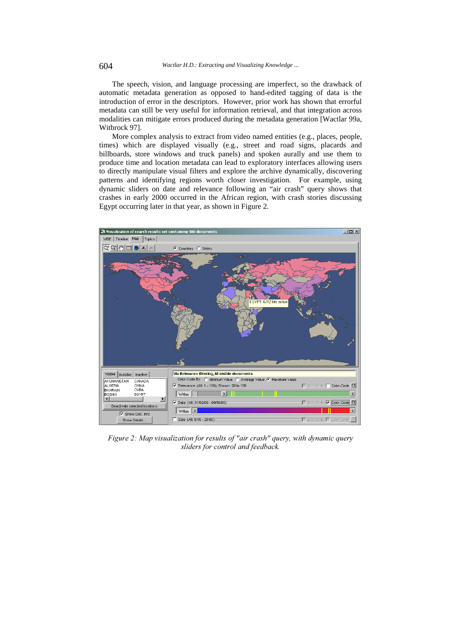The speech, vision, and language processing are imperfect, so the drawback of automatic metadata generation as opposed to hand-edited tagging of data is the introduction of error in the descriptors. However, prior work has shown that errorful metadata can still be very useful for information retrieval, and that integration across modalities can mitigate errors produced during the metadata generation [Wactlar 99a, Witbrock 97].

More complex analysis to extract from video named entities (e.g., places, people, times) which are displayed visually (e.g., street and road signs, placards and billboards, store windows and truck panels) and spoken aurally and use them to produce time and location metadata can lead to exploratory interfaces allowing users to directly manipulate visual filters and explore the archive dynamically, discovering patterns and identifying regions worth closer investigation. For example, using dynamic sliders on date and relevance following an "air crash" query shows that crashes in early 2000 occurred in the African region, with crash stories discussing Egypt occurring later in that year, as shown in Figure 2.



Figure 2: Map visualization for results of "air crash" query, with dynamic query sliders for control and feedback.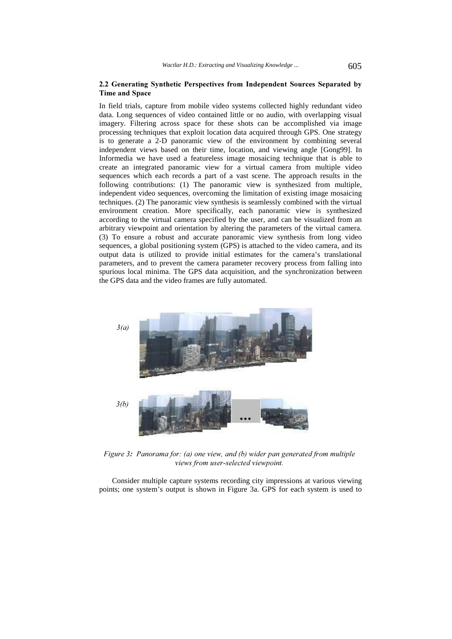### 2.2 Generating Synthetic Perspectives from Independent Sources Separated by Time and Space

In field trials, capture from mobile video systems collected highly redundant video data. Long sequences of video contained little or no audio, with overlapping visual imagery. Filtering across space for these shots can be accomplished via image processing techniques that exploit location data acquired through GPS. One strategy is to generate a 2-D panoramic view of the environment by combining several independent views based on their time, location, and viewing angle [Gong99]. In Informedia we have used a featureless image mosaicing technique that is able to create an integrated panoramic view for a virtual camera from multiple video sequences which each records a part of a vast scene. The approach results in the following contributions: (1) The panoramic view is synthesized from multiple, independent video sequences, overcoming the limitation of existing image mosaicing techniques. (2) The panoramic view synthesis is seamlessly combined with the virtual environment creation. More specifically, each panoramic view is synthesized according to the virtual camera specified by the user, and can be visualized from an arbitrary viewpoint and orientation by altering the parameters of the virtual camera. (3) To ensure a robust and accurate panoramic view synthesis from long video sequences, a global positioning system (GPS) is attached to the video camera, and its output data is utilized to provide initial estimates for the camera's translational parameters, and to prevent the camera parameter recovery process from falling into spurious local minima. The GPS data acquisition, and the synchronization between the GPS data and the video frames are fully automated.



Figure 3: Panorama for: (a) one view, and (b) wider pan generated from multiple views from user-selected viewpoint.

Consider multiple capture systems recording city impressions at various viewing points; one system's output is shown in Figure 3a. GPS for each system is used to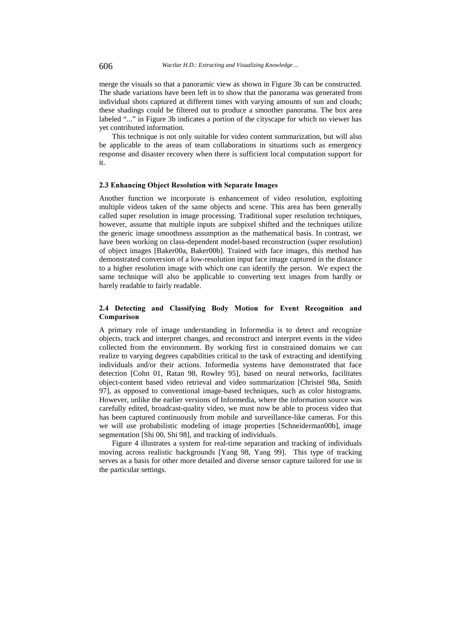merge the visuals so that a panoramic view as shown in Figure 3b can be constructed. The shade variations have been left in to show that the panorama was generated from individual shots captured at different times with varying amounts of sun and clouds; these shadings could be filtered out to produce a smoother panorama. The box area labeled "..." in Figure 3b indicates a portion of the cityscape for which no viewer has yet contributed information.

This technique is not only suitable for video content summarization, but will also be applicable to the areas of team collaborations in situations such as emergency response and disaster recovery when there is sufficient local computation support for it.

#### 2.3 Enhancing Object Resolution with Separate Images

Another function we incorporate is enhancement of video resolution, exploiting multiple videos taken of the same objects and scene. This area has been generally called super resolution in image processing. Traditional super resolution techniques, however, assume that multiple inputs are subpixel shifted and the techniques utilize the generic image smoothness assumption as the mathematical basis. In contrast, we have been working on class-dependent model-based reconstruction (super resolution) of object images [Baker00a, Baker00b]. Trained with face images, this method has demonstrated conversion of a low-resolution input face image captured in the distance to a higher resolution image with which one can identify the person. We expect the same technique will also be applicable to converting text images from hardly or barely readable to fairly readable.

### 2.4 Detecting and Classifying Body Motion for Event Recognition and Comparison

A primary role of image understanding in Informedia is to detect and recognize objects, track and interpret changes, and reconstruct and interpret events in the video collected from the environment. By working first in constrained domains we can realize to varying degrees capabilities critical to the task of extracting and identifying individuals and/or their actions. Informedia systems have demonstrated that face detection [Cohn 01, Ratan 98, Rowley 95], based on neural networks, facilitates object-content based video retrieval and video summarization [Christel 98a, Smith 97], as opposed to conventional image-based techniques, such as color histograms. However, unlike the earlier versions of Informedia, where the information source was carefully edited, broadcast-quality video, we must now be able to process video that has been captured continuously from mobile and surveillance-like cameras. For this we will use probabilistic modeling of image properties [Schneiderman00b], image segmentation [Shi 00, Shi 98], and tracking of individuals.

Figure 4 illustrates a system for real-time separation and tracking of individuals moving across realistic backgrounds [Yang 98, Yang 99]. This type of tracking serves as a basis for other more detailed and diverse sensor capture tailored for use in the particular settings.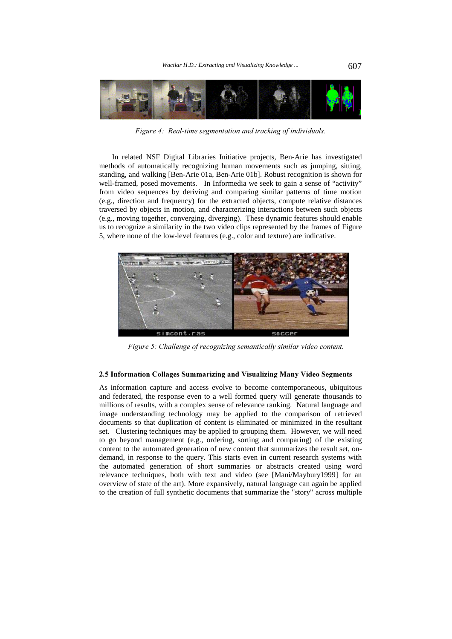

Figure 4: Real-time segmentation and tracking of individuals.

In related NSF Digital Libraries Initiative projects, Ben-Arie has investigated methods of automatically recognizing human movements such as jumping, sitting, standing, and walking [Ben-Arie 01a, Ben-Arie 01b]. Robust recognition is shown for well-framed, posed movements. In Informedia we seek to gain a sense of "activity" from video sequences by deriving and comparing similar patterns of time motion (e.g., direction and frequency) for the extracted objects, compute relative distances traversed by objects in motion, and characterizing interactions between such objects (e.g., moving together, converging, diverging). These dynamic features should enable us to recognize a similarity in the two video clips represented by the frames of Figure 5, where none of the low-level features (e.g., color and texture) are indicative.



Figure 5: Challenge of recognizing semantically similar video content.

#### 2.5 Information Collages Summarizing and Visualizing Many Video Segments

As information capture and access evolve to become contemporaneous, ubiquitous and federated, the response even to a well formed query will generate thousands to millions of results, with a complex sense of relevance ranking. Natural language and image understanding technology may be applied to the comparison of retrieved documents so that duplication of content is eliminated or minimized in the resultant set. Clustering techniques may be applied to grouping them. However, we will need to go beyond management (e.g., ordering, sorting and comparing) of the existing content to the automated generation of new content that summarizes the result set, ondemand, in response to the query. This starts even in current research systems with the automated generation of short summaries or abstracts created using word relevance techniques, both with text and video (see [Mani/Maybury1999] for an overview of state of the art). More expansively, natural language can again be applied to the creation of full synthetic documents that summarize the "story" across multiple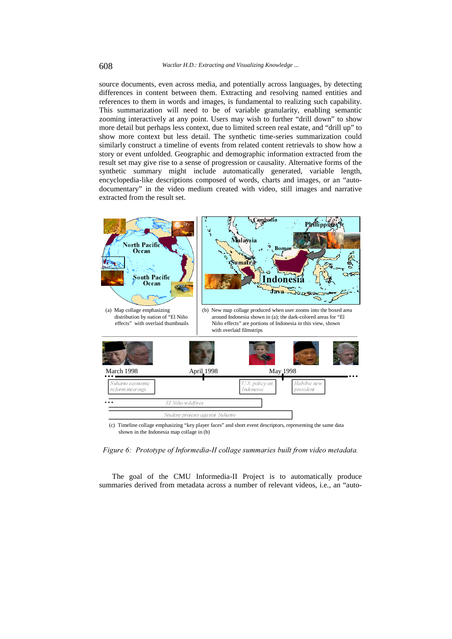source documents, even across media, and potentially across languages, by detecting differences in content between them. Extracting and resolving named entities and references to them in words and images, is fundamental to realizing such capability. This summarization will need to be of variable granularity, enabling semantic zooming interactively at any point. Users may wish to further "drill down" to show more detail but perhaps less context, due to limited screen real estate, and "drill up" to show more context but less detail. The synthetic time-series summarization could similarly construct a timeline of events from related content retrievals to show how a story or event unfolded. Geographic and demographic information extracted from the result set may give rise to a sense of progression or causality. Alternative forms of the synthetic summary might include automatically generated, variable length, encyclopedia-like descriptions composed of words, charts and images, or an "autodocumentary" in the video medium created with video, still images and narrative extracted from the result set.



Figure 6: Prototype of Informedia-II collage summaries built from video metadata.

The goal of the CMU Informedia-II Project is to automatically produce summaries derived from metadata across a number of relevant videos, i.e., an "auto-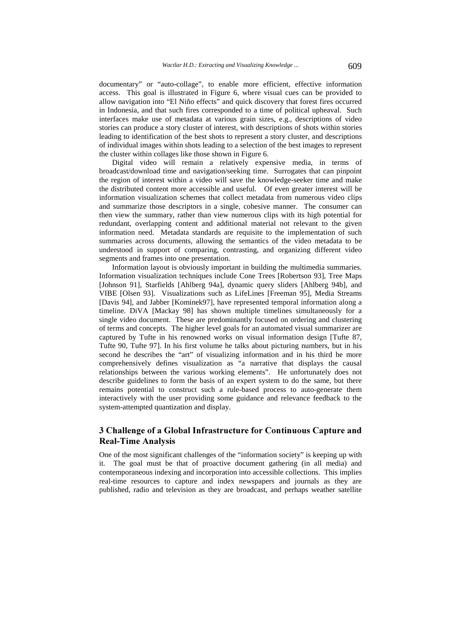documentary" or "auto-collage", to enable more efficient, effective information access. This goal is illustrated in Figure 6, where visual cues can be provided to allow navigation into "El Niño effects" and quick discovery that forest fires occurred in Indonesia, and that such fires corresponded to a time of political upheaval. Such interfaces make use of metadata at various grain sizes, e.g., descriptions of video stories can produce a story cluster of interest, with descriptions of shots within stories leading to identification of the best shots to represent a story cluster, and descriptions of individual images within shots leading to a selection of the best images to represent the cluster within collages like those shown in Figure 6.

Digital video will remain a relatively expensive media, in terms of broadcast/download time and navigation/seeking time. Surrogates that can pinpoint the region of interest within a video will save the knowledge-seeker time and make the distributed content more accessible and useful. Of even greater interest will be information visualization schemes that collect metadata from numerous video clips and summarize those descriptors in a single, cohesive manner. The consumer can then view the summary, rather than view numerous clips with its high potential for redundant, overlapping content and additional material not relevant to the given information need. Metadata standards are requisite to the implementation of such summaries across documents, allowing the semantics of the video metadata to be understood in support of comparing, contrasting, and organizing different video segments and frames into one presentation.

Information layout is obviously important in building the multimedia summaries. Information visualization techniques include Cone Trees [Robertson 93], Tree Maps [Johnson 91], Starfields [Ahlberg 94a], dynamic query sliders [Ahlberg 94b], and VIBE [Olsen 93]. Visualizations such as LifeLines [Freeman 95], Media Streams [Davis 94], and Jabber [Kominek97], have represented temporal information along a timeline. DiVA [Mackay 98] has shown multiple timelines simultaneously for a single video document. These are predominantly focused on ordering and clustering of terms and concepts. The higher level goals for an automated visual summarizer are captured by Tufte in his renowned works on visual information design [Tufte 87, Tufte 90, Tufte 97]. In his first volume he talks about picturing numbers, but in his second he describes the "art" of visualizing information and in his third he more comprehensively defines visualization as "a narrative that displays the causal relationships between the various working elements". He unfortunately does not describe guidelines to form the basis of an expert system to do the same, but there remains potential to construct such a rule-based process to auto-generate them interactively with the user providing some guidance and relevance feedback to the system-attempted quantization and display.

# 3 Challenge of a Global Infrastructure for Continuous Capture and **Real-Time Analysis**

One of the most significant challenges of the "information society" is keeping up with it. The goal must be that of proactive document gathering (in all media) and contemporaneous indexing and incorporation into accessible collections. This implies real-time resources to capture and index newspapers and journals as they are published, radio and television as they are broadcast, and perhaps weather satellite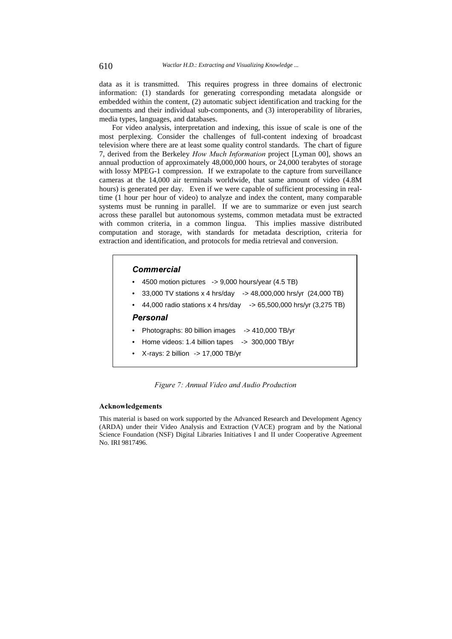data as it is transmitted. This requires progress in three domains of electronic information: (1) standards for generating corresponding metadata alongside or embedded within the content, (2) automatic subject identification and tracking for the documents and their individual sub-components, and (3) interoperability of libraries, media types, languages, and databases.

For video analysis, interpretation and indexing, this issue of scale is one of the most perplexing. Consider the challenges of full-content indexing of broadcast television where there are at least some quality control standards. The chart of figure 7, derived from the Berkeley How Much Information project [Lyman 00], shows an annual production of approximately 48,000,000 hours, or 24,000 terabytes of storage with lossy MPEG-1 compression. If we extrapolate to the capture from surveillance cameras at the 14,000 air terminals worldwide, that same amount of video (4.8M hours) is generated per day. Even if we were capable of sufficient processing in realtime (1 hour per hour of video) to analyze and index the content, many comparable systems must be running in parallel. If we are to summarize or even just search across these parallel but autonomous systems, common metadata must be extracted with common criteria, in a common lingua. This implies massive distributed computation and storage, with standards for metadata description, criteria for extraction and identification, and protocols for media retrieval and conversion.

# **Commercial**

- $\bullet$  4500 motion pictures -> 9,000 hours/year (4.5 TB)
- 33,000 TV stations x 4 hrs/day -> 48,000,000 hrs/yr (24,000 TB)
- 44,000 radio stations x 4 hrs/day -> 65,500,000 hrs/yr (3,275 TB)

# Personal

- Photographs: 80 billion images -> 410,000 TB/yr
- Home videos: 1.4 billion tapes -> 300,000 TB/yr
- X-rays: 2 billion -> 17,000 TB/yr

Figure 7: Annual Video and Audio Production

#### **Acknowledgements**

This material is based on work supported by the Advanced Research and Development Agency (ARDA) under their Video Analysis and Extraction (VACE) program and by the National Science Foundation (NSF) Digital Libraries Initiatives I and II under Cooperative Agreement No. IRI 9817496.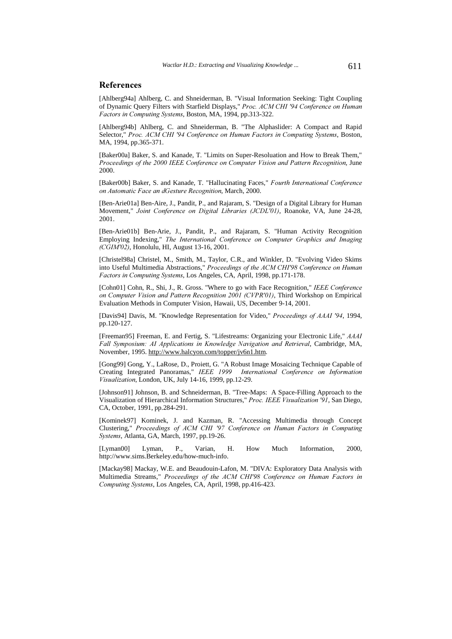### **References**

[Ahlberg94a] Ahlberg, C. and Shneiderman, B. "Visual Information Seeking: Tight Coupling of Dynamic Query Filters with Starfield Displays," Proc. ACM CHI '94 Conference on Human Factors in Computing Systems, Boston, MA, 1994, pp.313-322.

[Ahlberg94b] Ahlberg, C. and Shneiderman, B. "The Alphaslider: A Compact and Rapid Selector," Proc. ACM CHI '94 Conference on Human Factors in Computing Systems, Boston, MA, 1994, pp.365-371.

[Baker00a] Baker, S. and Kanade, T. "Limits on Super-Resoluation and How to Break Them," Proceedings of the 2000 IEEE Conference on Computer Vision and Pattern Recognition, June 2000.

[Baker00b] Baker, S. and Kanade, T. "Hallucinating Faces," Fourth International Conference on Automatic Face an dGesture Recognition, March, 2000.

[Ben-Arie01a] Ben-Aire, J., Pandit, P., and Rajaram, S. "Design of a Digital Library for Human Movement," Joint Conference on Digital Libraries (JCDL'01), Roanoke, VA, June 24-28, 2001.

[Ben-Arie01b] Ben-Arie, J., Pandit, P., and Rajaram, S. "Human Activity Recognition Employing Indexing," The International Conference on Computer Graphics and Imaging  $\sqrt{CGIM'02}$ ), Honolulu, HI, August 13-16, 2001.

[Christel98a] Christel, M., Smith, M., Taylor, C.R., and Winkler, D. "Evolving Video Skims into Useful Multimedia Abstractions," Proceedings of the ACM CHI'98 Conference on Human Factors in Computing Systems, Los Angeles, CA, April, 1998, pp.171-178.

[Cohn01] Cohn, R., Shi, J., R. Gross. "Where to go with Face Recognition," IEEE Conference on Computer Vision and Pattern Recognition 2001 (CVPR'01), Third Workshop on Empirical Evaluation Methods in Computer Vision, Hawaii, US, December 9-14, 2001.

[Davis94] Davis, M. "Knowledge Representation for Video," Proceedings of AAAI '94, 1994, pp.120-127.

[Freeman95] Freeman, E. and Fertig, S. "Lifestreams: Organizing your Electronic Life," AAAI Fall Symposium: AI Applications in Knowledge Navigation and Retrieval, Cambridge, MA, November, 1995. http://www.halcyon.com/topper/jv6n1.htm.

[Gong99] Gong, Y., LaRose, D., Proiett, G. "A Robust Image Mosaicing Technique Capable of Creating Integrated Panoramas," IEEE 1999 International Conference on Information Visualization, London, UK, July 14-16, 1999, pp.12-29.

[Johnson91] Johnson, B. and Schneiderman, B. "Tree-Maps: A Space-Filling Approach to the Visualization of Hierarchical Information Structures," Proc. IEEE Visualization '91, San Diego, CA, October, 1991, pp.284-291.

[Kominek97] Kominek, J. and Kazman, R. "Accessing Multimedia through Concept Clustering," Proceedings of ACM CHI '97 Conference on Human Factors in Computing Systems, Atlanta, GA, March, 1997, pp.19-26.

[Lyman00] Lyman, P., Varian, H. How Much Information, 2000, http://www.sims.Berkeley.edu/how-much-info.

[Mackay98] Mackay, W.E. and Beaudouin-Lafon, M. "DIVA: Exploratory Data Analysis with Multimedia Streams," Proceedings of the ACM CHI'98 Conference on Human Factors in Computing Systems, Los Angeles, CA, April, 1998, pp.416-423.